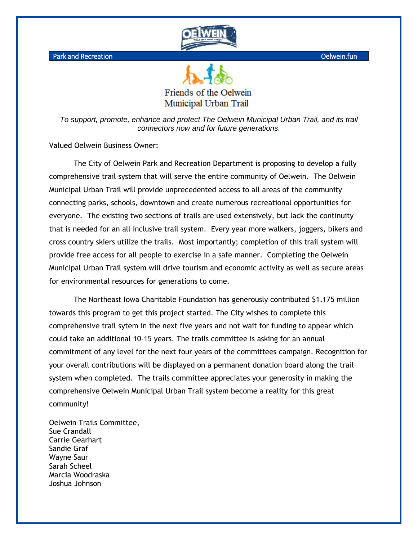

Park and Recreation **Oelwein.fun** 

Friends of the Oelwein Municipal Urban Trail

*To support, promote, enhance and protect The Oelwein Municipal Urban Trail, and its trail connectors now and for future generations.*

Valued Oelwein Business Owner:

The City of Oelwein Park and Recreation Department is proposing to develop a fully comprehensive trail system that will serve the entire community of Oelwein. The Oelwein Municipal Urban Trail will provide unprecedented access to all areas of the community connecting parks, schools, downtown and create numerous recreational opportunities for everyone. The existing two sections of trails are used extensively, but lack the continuity that is needed for an all inclusive trail system. Every year more walkers, joggers, bikers and cross country skiers utilize the trails. Most importantly; completion of this trail system will provide free access for all people to exercise in a safe manner. Completing the Oelwein Municipal Urban Trail system will drive tourism and economic activity as well as secure areas for environmental resources for generations to come.

The Northeast Iowa Charitable Foundation has generously contributed \$1.175 million towards this program to get this project started. The City wishes to complete this comprehensive trail sytem in the next five years and not wait for funding to appear which could take an additional 10-15 years. The trails committee is asking for an annual commitment of any level for the next four years of the committees campaign. Recognition for your overall contributions will be displayed on a permanent donation board along the trail system when completed. The trails committee appreciates your generosity in making the comprehensive Oelwein Municipal Urban Trail system become a reality for this great community!

Oelwein Trails Committee, Sue Crandall Carrie Gearhart Sandie Graf Wayne Saur Sarah Scheel Marcia Woodraska Joshua Johnson